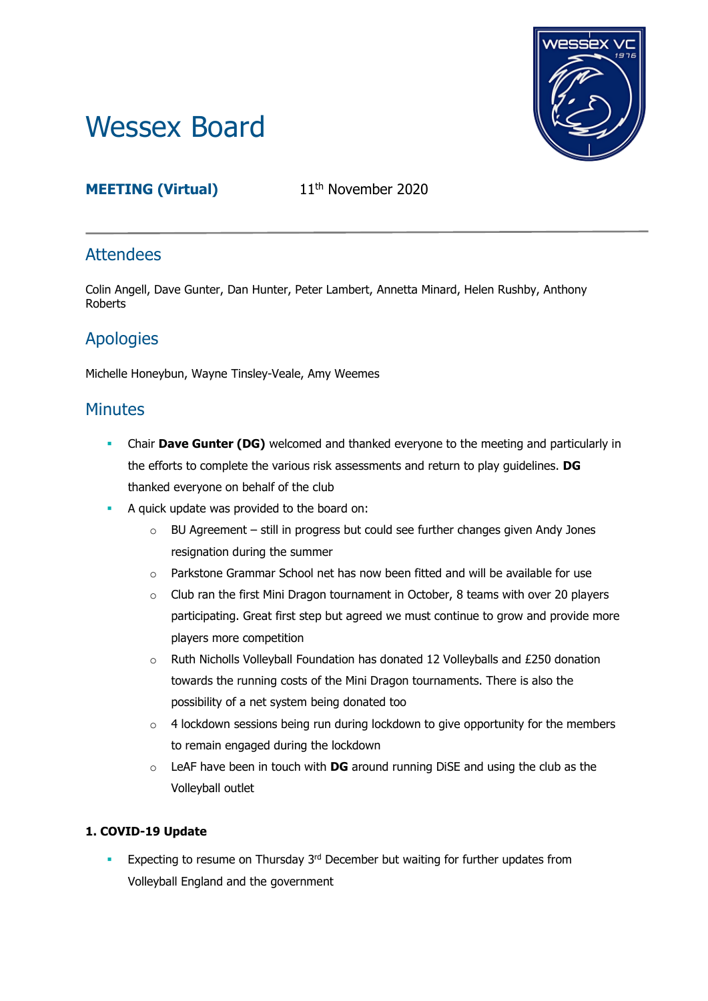# Wessex Board



# **MEETING (Virtual)** 11<sup>th</sup> November 2020

# **Attendees**

Colin Angell, Dave Gunter, Dan Hunter, Peter Lambert, Annetta Minard, Helen Rushby, Anthony Roberts

# Apologies

Michelle Honeybun, Wayne Tinsley-Veale, Amy Weemes

## **Minutes**

- Chair **Dave Gunter (DG)** welcomed and thanked everyone to the meeting and particularly in the efforts to complete the various risk assessments and return to play guidelines. **DG** thanked everyone on behalf of the club
- A quick update was provided to the board on:
	- $\circ$  BU Agreement still in progress but could see further changes given Andy Jones resignation during the summer
	- o Parkstone Grammar School net has now been fitted and will be available for use
	- $\circ$  Club ran the first Mini Dragon tournament in October, 8 teams with over 20 players participating. Great first step but agreed we must continue to grow and provide more players more competition
	- o Ruth Nicholls Volleyball Foundation has donated 12 Volleyballs and £250 donation towards the running costs of the Mini Dragon tournaments. There is also the possibility of a net system being donated too
	- $\circ$  4 lockdown sessions being run during lockdown to give opportunity for the members to remain engaged during the lockdown
	- o LeAF have been in touch with **DG** around running DiSE and using the club as the Volleyball outlet

## **1. COVID-19 Update**

**Expecting to resume on Thursday 3<sup>rd</sup> December but waiting for further updates from** Volleyball England and the government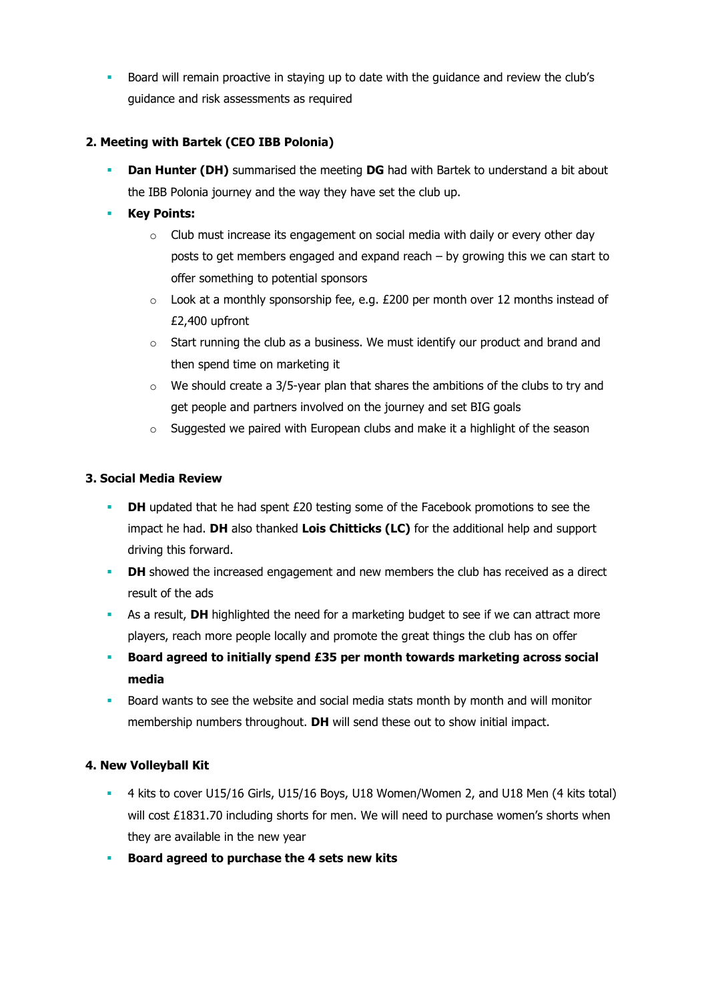Board will remain proactive in staying up to date with the guidance and review the club's guidance and risk assessments as required

### **2. Meeting with Bartek (CEO IBB Polonia)**

**Dan Hunter (DH)** summarised the meeting **DG** had with Bartek to understand a bit about the IBB Polonia journey and the way they have set the club up.

## **Key Points:**

- $\circ$  Club must increase its engagement on social media with daily or every other day posts to get members engaged and expand reach – by growing this we can start to offer something to potential sponsors
- $\circ$  Look at a monthly sponsorship fee, e.g. £200 per month over 12 months instead of £2,400 upfront
- $\circ$  Start running the club as a business. We must identify our product and brand and then spend time on marketing it
- $\circ$  We should create a 3/5-year plan that shares the ambitions of the clubs to try and get people and partners involved on the journey and set BIG goals
- o Suggested we paired with European clubs and make it a highlight of the season

#### **3. Social Media Review**

- **DH** updated that he had spent £20 testing some of the Facebook promotions to see the impact he had. **DH** also thanked **Lois Chitticks (LC)** for the additional help and support driving this forward.
- **DH** showed the increased engagement and new members the club has received as a direct result of the ads
- As a result, **DH** highlighted the need for a marketing budget to see if we can attract more players, reach more people locally and promote the great things the club has on offer
- **Board agreed to initially spend £35 per month towards marketing across social media**
- Board wants to see the website and social media stats month by month and will monitor membership numbers throughout. **DH** will send these out to show initial impact.

#### **4. New Volleyball Kit**

- 4 kits to cover U15/16 Girls, U15/16 Boys, U18 Women/Women 2, and U18 Men (4 kits total) will cost £1831.70 including shorts for men. We will need to purchase women's shorts when they are available in the new year
- **Board agreed to purchase the 4 sets new kits**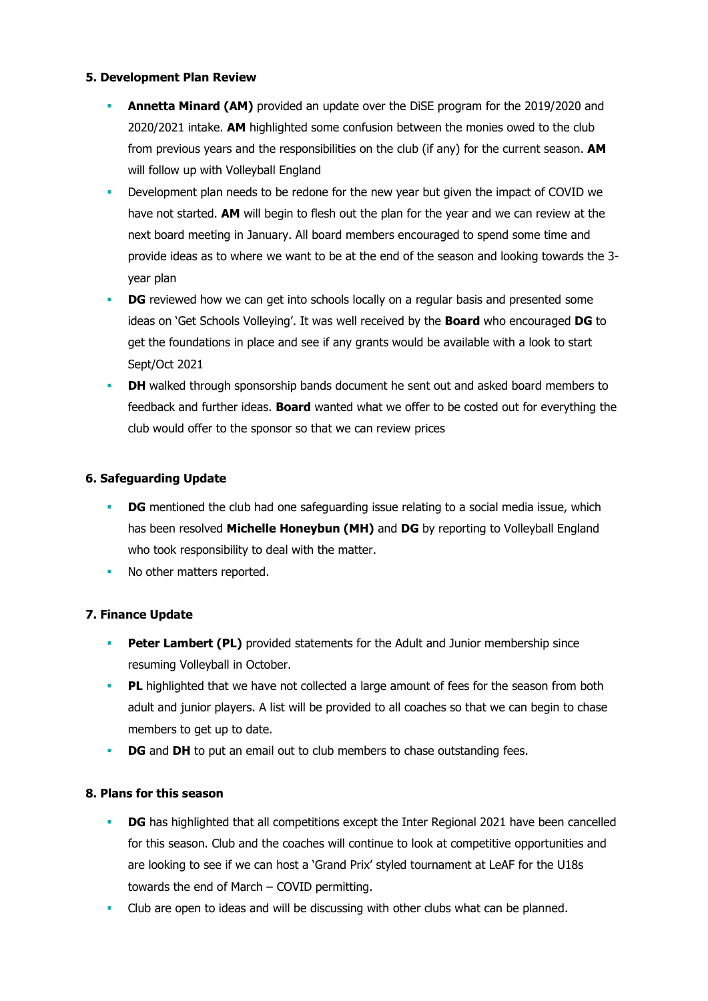#### **5. Development Plan Review**

- **Annetta Minard (AM)** provided an update over the DiSE program for the 2019/2020 and 2020/2021 intake. **AM** highlighted some confusion between the monies owed to the club from previous years and the responsibilities on the club (if any) for the current season. **AM** will follow up with Volleyball England
- Development plan needs to be redone for the new year but given the impact of COVID we have not started. **AM** will begin to flesh out the plan for the year and we can review at the next board meeting in January. All board members encouraged to spend some time and provide ideas as to where we want to be at the end of the season and looking towards the 3 year plan
- **DG** reviewed how we can get into schools locally on a regular basis and presented some ideas on 'Get Schools Volleying'. It was well received by the **Board** who encouraged **DG** to get the foundations in place and see if any grants would be available with a look to start Sept/Oct 2021
- **DH** walked through sponsorship bands document he sent out and asked board members to feedback and further ideas. **Board** wanted what we offer to be costed out for everything the club would offer to the sponsor so that we can review prices

#### **6. Safeguarding Update**

- **DG** mentioned the club had one safeguarding issue relating to a social media issue, which has been resolved **Michelle Honeybun (MH)** and **DG** by reporting to Volleyball England who took responsibility to deal with the matter.
- No other matters reported.

#### **7. Finance Update**

- **Peter Lambert (PL)** provided statements for the Adult and Junior membership since resuming Volleyball in October.
- **PL** highlighted that we have not collected a large amount of fees for the season from both adult and junior players. A list will be provided to all coaches so that we can begin to chase members to get up to date.
- **DG** and **DH** to put an email out to club members to chase outstanding fees.

#### **8. Plans for this season**

- **DG** has highlighted that all competitions except the Inter Regional 2021 have been cancelled for this season. Club and the coaches will continue to look at competitive opportunities and are looking to see if we can host a 'Grand Prix' styled tournament at LeAF for the U18s towards the end of March – COVID permitting.
- Club are open to ideas and will be discussing with other clubs what can be planned.